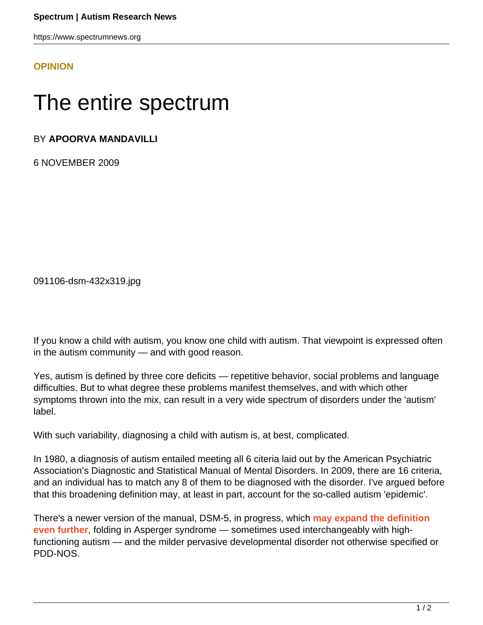https://www.spectrumnews.org

## **[OPINION](HTTPS://WWW.SPECTRUMNEWS.ORG/OPINION/)**

## The entire spectrum

## BY **APOORVA MANDAVILLI**

6 NOVEMBER 2009

091106-dsm-432x319.jpg

If you know a child with autism, you know one child with autism. That viewpoint is expressed often in the autism community — and with good reason.

Yes, autism is defined by three core deficits — repetitive behavior, social problems and language difficulties. But to what degree these problems manifest themselves, and with which other symptoms thrown into the mix, can result in a very wide spectrum of disorders under the 'autism' label.

With such variability, diagnosing a child with autism is, at best, complicated.

In 1980, a diagnosis of autism entailed meeting all 6 citeria laid out by the American Psychiatric Association's Diagnostic and Statistical Manual of Mental Disorders. In 2009, there are 16 criteria, and an individual has to match any 8 of them to be diagnosed with the disorder. I've argued before that this broadening definition may, at least in part, account for the so-called autism 'epidemic'.

There's a newer version of the manual, DSM-5, in progress, which **[may expand the definition](http://www.nytimes.com/2009/11/03/health/03asperger.html) [even further](http://www.nytimes.com/2009/11/03/health/03asperger.html)**, folding in Asperger syndrome — sometimes used interchangeably with highfunctioning autism — and the milder pervasive developmental disorder not otherwise specified or PDD-NOS.